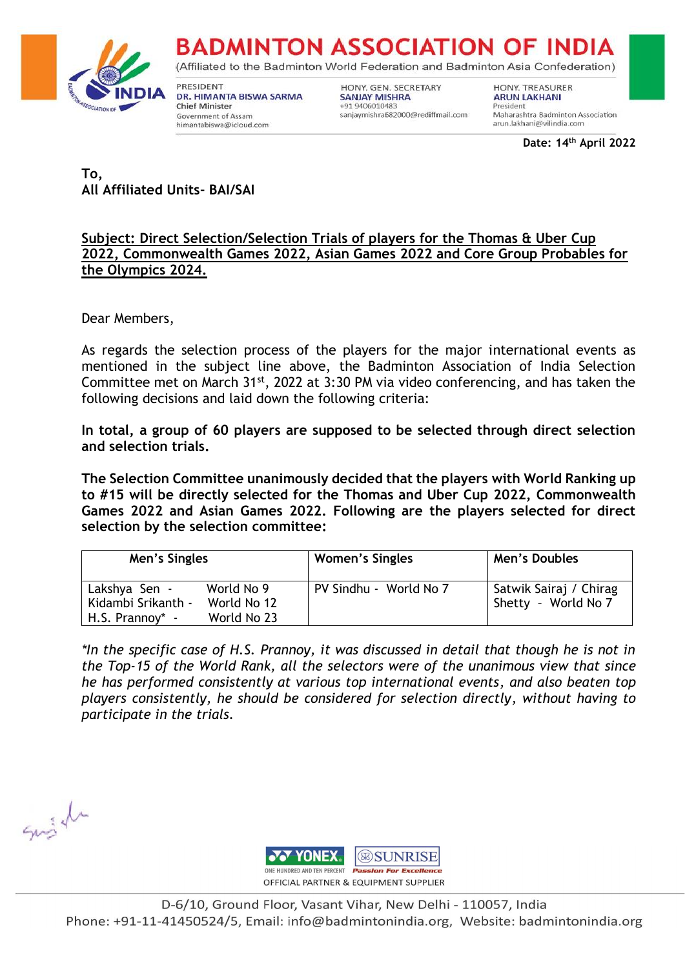

(Affiliated to the Badminton World Federation and Badminton Asia Confederation)

PRESIDENT DR. HIMANTA BISWA SARMA **Chief Minister** Government of Assam himantabiswa@icloud.com

HONY. GEN. SECRETARY **SANJAY MISHRA** +91 9406010483 sanjaymishra682000@rediffmail.com HONY, TREASURER **ARUN LAKHANI** President Maharashtra Badminton Association arun.lakhani@vilindia.com

**Date: 14 th April 2022**

**To, All Affiliated Units- BAI/SAI**

### **Subject: Direct Selection/Selection Trials of players for the Thomas & Uber Cup 2022, Commonwealth Games 2022, Asian Games 2022 and Core Group Probables for the Olympics 2024.**

Dear Members,

As regards the selection process of the players for the major international events as mentioned in the subject line above, the Badminton Association of India Selection Committee met on March 31<sup>st</sup>, 2022 at 3:30 PM via video conferencing, and has taken the following decisions and laid down the following criteria:

**In total, a group of 60 players are supposed to be selected through direct selection and selection trials.** 

**The Selection Committee unanimously decided that the players with World Ranking up to #15 will be directly selected for the Thomas and Uber Cup 2022, Commonwealth Games 2022 and Asian Games 2022. Following are the players selected for direct selection by the selection committee:**

| Men's Singles      |             | <b>Women's Singles</b> | Men's Doubles          |
|--------------------|-------------|------------------------|------------------------|
| Lakshya Sen -      | World No 9  | PV Sindhu - World No 7 | Satwik Sairaj / Chirag |
| Kidambi Srikanth - | World No 12 |                        | Shetty - World No 7    |
| $H.S. Prannov^* -$ | World No 23 |                        |                        |

*\*In the specific case of H.S. Prannoy, it was discussed in detail that though he is not in the Top-15 of the World Rank, all the selectors were of the unanimous view that since he has performed consistently at various top international events, and also beaten top players consistently, he should be considered for selection directly, without having to participate in the trials.*

Suish

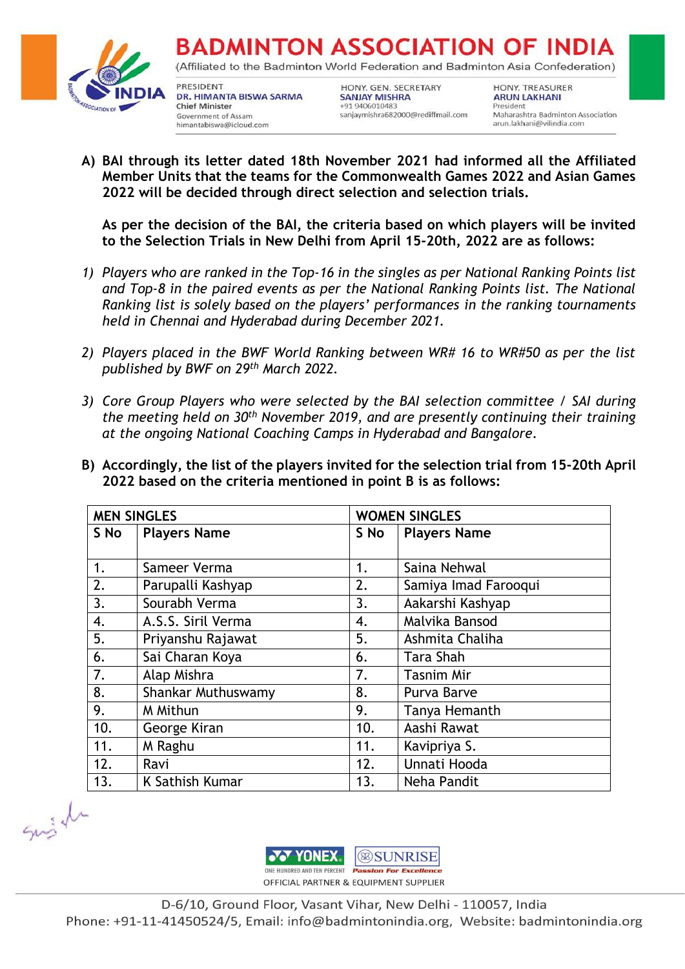

(Affiliated to the Badminton World Federation and Badminton Asia Confederation)

PRESIDENT DR. HIMANTA BISWA SARMA **Chief Minister** Government of Assam himantabiswa@icloud.com

HONY. GEN. SECRETARY **SANJAY MISHRA** +91 9406010483 sanjaymishra682000@rediffmail.com **HONY, TREASURER ARUN LAKHANI** President Maharashtra Badminton Association arun.lakhani@vilindia.com

**A) BAI through its letter dated 18th November 2021 had informed all the Affiliated Member Units that the teams for the Commonwealth Games 2022 and Asian Games 2022 will be decided through direct selection and selection trials.**

**As per the decision of the BAI, the criteria based on which players will be invited to the Selection Trials in New Delhi from April 15-20th, 2022 are as follows:** 

- *1) Players who are ranked in the Top-16 in the singles as per National Ranking Points list and Top-8 in the paired events as per the National Ranking Points list. The National Ranking list is solely based on the players' performances in the ranking tournaments held in Chennai and Hyderabad during December 2021.*
- *2) Players placed in the BWF World Ranking between WR# 16 to WR#50 as per the list published by BWF on 29th March 2022.*
- *3) Core Group Players who were selected by the BAI selection committee / SAI during the meeting held on 30th November 2019, and are presently continuing their training at the ongoing National Coaching Camps in Hyderabad and Bangalore.*
- **B) Accordingly, the list of the players invited for the selection trial from 15-20th April 2022 based on the criteria mentioned in point B is as follows:**

| <b>MEN SINGLES</b> |                     | <b>WOMEN SINGLES</b> |                      |
|--------------------|---------------------|----------------------|----------------------|
| S No               | <b>Players Name</b> | S No                 | <b>Players Name</b>  |
|                    |                     |                      |                      |
| 1.                 | Sameer Verma        | 1.                   | Saina Nehwal         |
| 2.                 | Parupalli Kashyap   | 2.                   | Samiya Imad Farooqui |
| 3.                 | Sourabh Verma       | 3.                   | Aakarshi Kashyap     |
| 4.                 | A.S.S. Siril Verma  | 4.                   | Malvika Bansod       |
| 5.                 | Priyanshu Rajawat   | 5.                   | Ashmita Chaliha      |
| 6.                 | Sai Charan Koya     | 6.                   | Tara Shah            |
| 7.                 | Alap Mishra         | 7.                   | <b>Tasnim Mir</b>    |
| 8.                 | Shankar Muthuswamy  | 8.                   | Purva Barve          |
| 9.                 | M Mithun            | 9.                   | Tanya Hemanth        |
| 10.                | George Kiran        | 10.                  | Aashi Rawat          |
| 11.                | M Raghu             | 11.                  | Kavipriya S.         |
| 12.                | Ravi                | 12.                  | Unnati Hooda         |
| 13.                | K Sathish Kumar     | 13.                  | Neha Pandit          |

Susiel

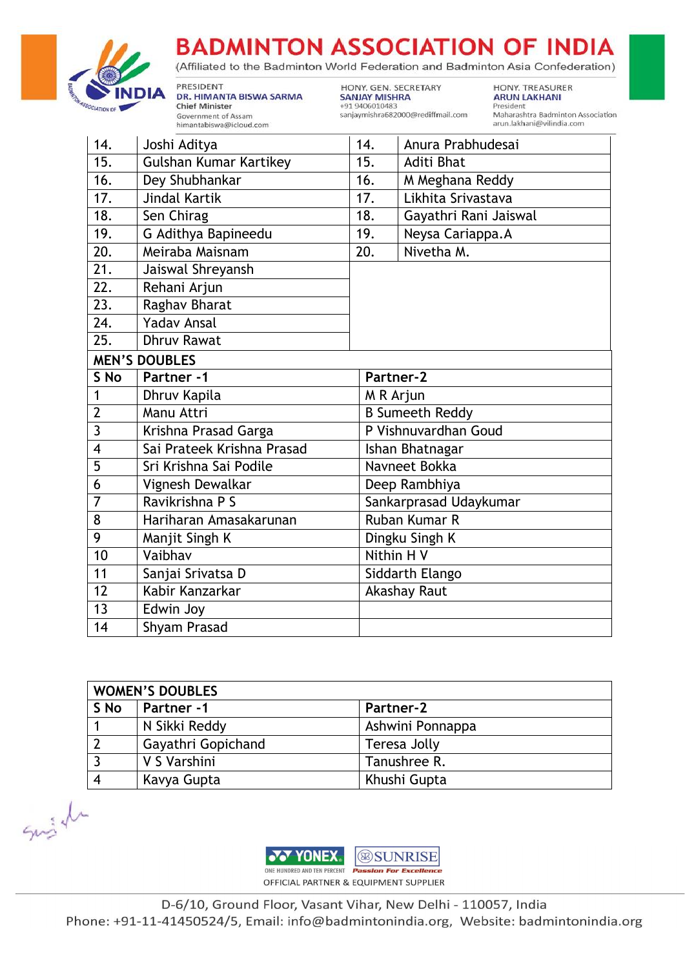

(Affiliated to the Badminton World Federation and Badminton Asia Confederation)

PRESIDENT DR. HIMANTA BISWA SARMA **Chief Minister** Government of Assam himantabiswa@icloud.com

HONY. GEN. SECRETARY **SANJAY MISHRA** +91 9406010483 sanjaymishra682000@rediffmail.com

HONY. TREASURER **ARUN LAKHANI** President Maharashtra Badminton Association arun.lakhani@vilindia.com

| 14.                     | Joshi Aditya               | 14. | Anura Prabhudesai      |
|-------------------------|----------------------------|-----|------------------------|
| 15.                     | Gulshan Kumar Kartikey     | 15. | <b>Aditi Bhat</b>      |
| 16.                     | Dey Shubhankar             | 16. | M Meghana Reddy        |
| 17.                     | <b>Jindal Kartik</b>       | 17. | Likhita Srivastava     |
| 18.                     | Sen Chirag                 | 18. | Gayathri Rani Jaiswal  |
| 19.                     | G Adithya Bapineedu        | 19. | Neysa Cariappa.A       |
| 20.                     | Meiraba Maisnam            | 20. | Nivetha M.             |
| 21.                     | Jaiswal Shreyansh          |     |                        |
| 22.                     | Rehani Arjun               |     |                        |
| $\overline{23}$ .       | Raghav Bharat              |     |                        |
| 24.                     | <b>Yadav Ansal</b>         |     |                        |
| 25.                     | <b>Dhruv Rawat</b>         |     |                        |
|                         | <b>MEN'S DOUBLES</b>       |     |                        |
| S No                    | Partner -1                 |     | Partner-2              |
| $\mathbf{1}$            | Dhruv Kapila<br>M R Arjun  |     |                        |
| $\overline{2}$          | Manu Attri                 |     | <b>B Sumeeth Reddy</b> |
| 3                       | Krishna Prasad Garga       |     | P Vishnuvardhan Goud   |
| $\overline{\mathbf{4}}$ | Sai Prateek Krishna Prasad |     | Ishan Bhatnagar        |
| 5                       | Sri Krishna Sai Podile     |     | Navneet Bokka          |
| 6                       | Vignesh Dewalkar           |     | Deep Rambhiya          |
| $\overline{7}$          | Ravikrishna P S            |     | Sankarprasad Udaykumar |
| 8                       | Hariharan Amasakarunan     |     | <b>Ruban Kumar R</b>   |
| 9                       | Manjit Singh K             |     | Dingku Singh K         |
| 10                      | Vaibhav                    |     | Nithin H V             |
| 11                      | Sanjai Srivatsa D          |     | Siddarth Elango        |
| 12                      | Kabir Kanzarkar            |     | Akashay Raut           |
| 13                      | Edwin Joy                  |     |                        |
| 14                      | Shyam Prasad               |     |                        |

| <b>WOMEN'S DOUBLES</b> |                    |                  |  |
|------------------------|--------------------|------------------|--|
| S No                   | Partner -1         | Partner-2        |  |
|                        | N Sikki Reddy      | Ashwini Ponnappa |  |
| $\overline{2}$         | Gayathri Gopichand | Teresa Jolly     |  |
|                        | V S Varshini       | Tanushree R.     |  |
|                        | Kavya Gupta        | Khushi Gupta     |  |

Suist

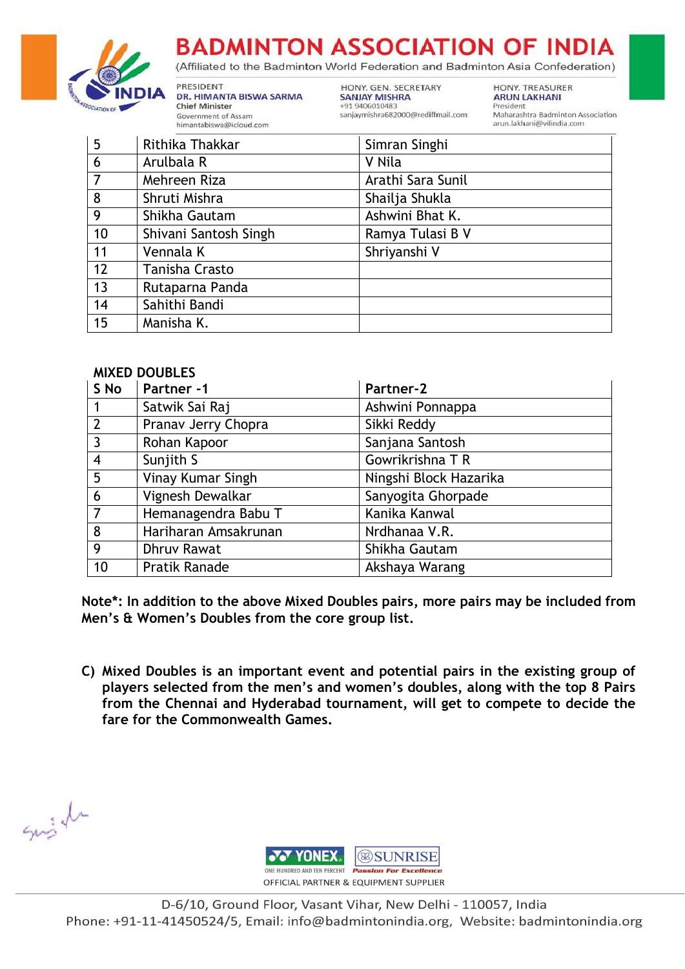

(Affiliated to the Badminton World Federation and Badminton Asia Confederation)

PRESIDENT DR. HIMANTA BISWA SARMA **Chief Minister** Government of Assam himantabiswa@icloud.com

HONY. GEN. SECRETARY **SANJAY MISHRA** +91 9406010483 sanjaymishra682000@rediffmail.com HONY. TREASURER **ARUN LAKHANI** President Maharashtra Badminton Association arun.lakhani@vilindia.com

| 5               | Rithika Thakkar       | Simran Singhi     |
|-----------------|-----------------------|-------------------|
| $6\phantom{1}6$ | Arulbala R            | V Nila            |
| $\overline{7}$  | Mehreen Riza          | Arathi Sara Sunil |
| $\overline{8}$  | Shruti Mishra         | Shailja Shukla    |
| $\overline{9}$  | Shikha Gautam         | Ashwini Bhat K.   |
| 10              | Shivani Santosh Singh | Ramya Tulasi B V  |
| 11              | Vennala K             | Shriyanshi V      |
| 12              | Tanisha Crasto        |                   |
| 13              | Rutaparna Panda       |                   |
| 14              | Sahithi Bandi         |                   |
| 15              | Manisha K.            |                   |

#### **MIXED DOUBLES**

| S No            | Partner -1           | Partner-2              |
|-----------------|----------------------|------------------------|
| $\overline{1}$  | Satwik Sai Raj       | Ashwini Ponnappa       |
| $\overline{2}$  | Pranav Jerry Chopra  | Sikki Reddy            |
| $\overline{3}$  | Rohan Kapoor         | Sanjana Santosh        |
| $\overline{4}$  | Sunjith S            | Gowrikrishna T R       |
| $5\overline{5}$ | Vinay Kumar Singh    | Ningshi Block Hazarika |
| 6               | Vignesh Dewalkar     | Sanyogita Ghorpade     |
| $\overline{7}$  | Hemanagendra Babu T  | Kanika Kanwal          |
| 8               | Hariharan Amsakrunan | Nrdhanaa V.R.          |
| 9               | <b>Dhruv Rawat</b>   | Shikha Gautam          |
| 10              | Pratik Ranade        | Akshaya Warang         |

**Note\*: In addition to the above Mixed Doubles pairs, more pairs may be included from Men's & Women's Doubles from the core group list.**

**C) Mixed Doubles is an important event and potential pairs in the existing group of players selected from the men's and women's doubles, along with the top 8 Pairs from the Chennai and Hyderabad tournament, will get to compete to decide the fare for the Commonwealth Games.**

Susiel

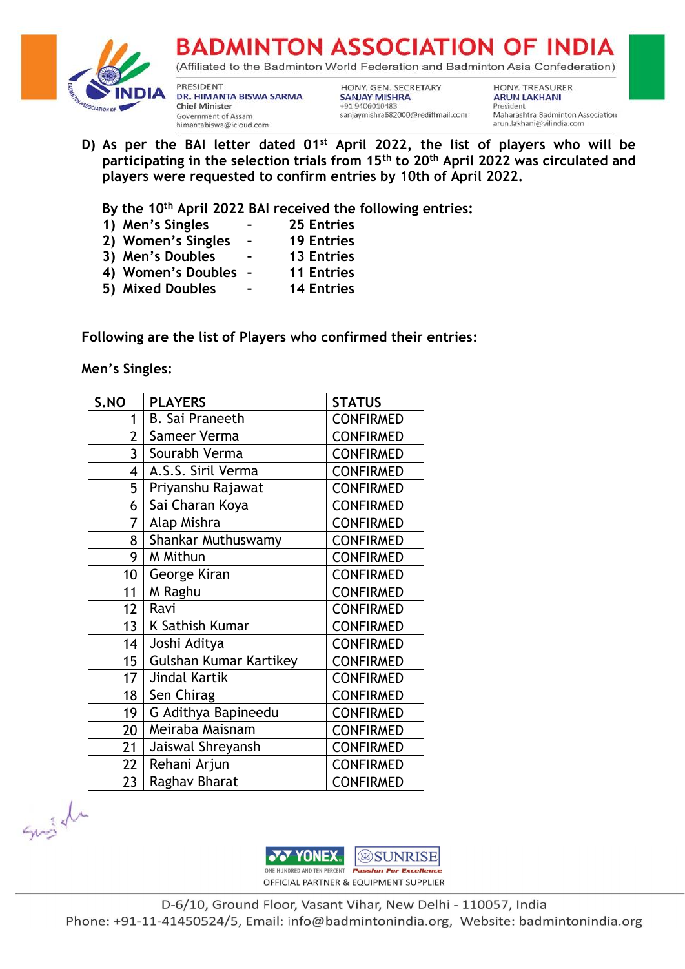

(Affiliated to the Badminton World Federation and Badminton Asia Confederation)

PRESIDENT DR. HIMANTA BISWA SARMA **Chief Minister** Government of Assam himantabiswa@icloud.com

HONY. GEN. SECRETARY **SANJAY MISHRA** +91 9406010483 sanjaymishra682000@rediffmail.com HONY. TREASURER **ARUN LAKHANI** President Maharashtra Badminton Association arun.lakhani@vilindia.com

**D) As per the BAI letter dated 01st April 2022, the list of players who will be participating in the selection trials from 15th to 20th April 2022 was circulated and players were requested to confirm entries by 10th of April 2022.**

**By the 10th April 2022 BAI received the following entries:**

- **1) Men's Singles – 25 Entries**
- **2) Women's Singles – 19 Entries**
- **3) Men's Doubles – 13 Entries**
- **4) Women's Doubles – 11 Entries**
- **5) Mixed Doubles – 14 Entries**

**Following are the list of Players who confirmed their entries:**

**Men's Singles:**

| S.NO            | <b>PLAYERS</b>         | <b>STATUS</b>    |
|-----------------|------------------------|------------------|
| 1               | <b>B.</b> Sai Praneeth | <b>CONFIRMED</b> |
| $\overline{2}$  | Sameer Verma           | <b>CONFIRMED</b> |
| 3               | Sourabh Verma          | <b>CONFIRMED</b> |
| 4               | A.S.S. Siril Verma     | <b>CONFIRMED</b> |
| 5               | Priyanshu Rajawat      | <b>CONFIRMED</b> |
| 6               | Sai Charan Koya        | <b>CONFIRMED</b> |
| 7               | Alap Mishra            | <b>CONFIRMED</b> |
| 8               | Shankar Muthuswamy     | <b>CONFIRMED</b> |
| 9               | M Mithun               | <b>CONFIRMED</b> |
| 10              | George Kiran           | <b>CONFIRMED</b> |
| 11              | M Raghu                | <b>CONFIRMED</b> |
| 12              | Ravi                   | <b>CONFIRMED</b> |
| 13 <sup>2</sup> | K Sathish Kumar        | <b>CONFIRMED</b> |
| 14              | Joshi Aditya           | <b>CONFIRMED</b> |
| 15              | Gulshan Kumar Kartikey | <b>CONFIRMED</b> |
| 17              | Jindal Kartik          | <b>CONFIRMED</b> |
| 18              | Sen Chirag             | <b>CONFIRMED</b> |
| 19              | G Adithya Bapineedu    | <b>CONFIRMED</b> |
| 20              | Meiraba Maisnam        | <b>CONFIRMED</b> |
| 21              | Jaiswal Shreyansh      | <b>CONFIRMED</b> |
| 22              | Rehani Arjun           | <b>CONFIRMED</b> |
| 23              | Raghav Bharat          | <b>CONFIRMED</b> |

Susiel

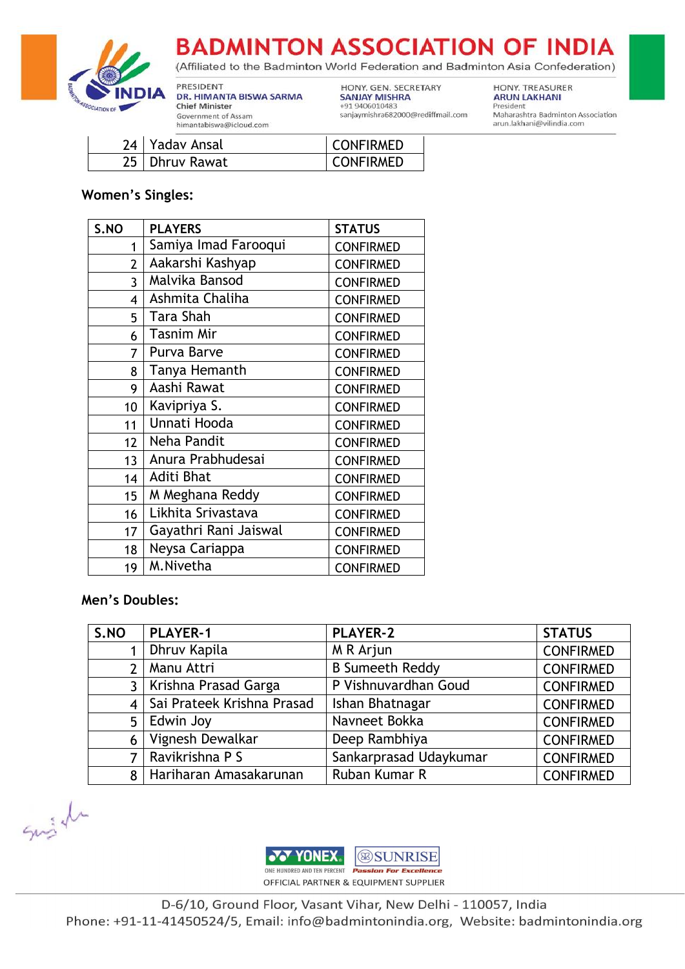

(Affiliated to the Badminton World Federation and Badminton Asia Confederation)

PRESIDENT DR. HIMANTA BISWA SARMA **Chief Minister** Government of Assam himantabiswa@icloud.com

HONY. GEN. SECRETARY **SANJAY MISHRA** +91 9406010483 sanjaymishra682000@rediffmail.com

HONY. TREASURER **ARUN LAKHANI** President Maharashtra Badminton Association arun.lakhani@vilindia.com

| 24   Yadav Ansal | CONFIRMED        |
|------------------|------------------|
| 25   Dhruv Rawat | <b>CONFIRMED</b> |

### **Women's Singles:**

| S.NO            | <b>PLAYERS</b>        | <b>STATUS</b>    |
|-----------------|-----------------------|------------------|
| 1               | Samiya Imad Farooqui  | <b>CONFIRMED</b> |
| $\overline{2}$  | Aakarshi Kashyap      | <b>CONFIRMED</b> |
| 3               | Malvika Bansod        | <b>CONFIRMED</b> |
| 4               | Ashmita Chaliha       | <b>CONFIRMED</b> |
| 5               | Tara Shah             | <b>CONFIRMED</b> |
| 6               | <b>Tasnim Mir</b>     | <b>CONFIRMED</b> |
| 7               | Purva Barve           | <b>CONFIRMED</b> |
| 8               | Tanya Hemanth         | <b>CONFIRMED</b> |
| 9               | Aashi Rawat           | <b>CONFIRMED</b> |
| 10              | Kavipriya S.          | <b>CONFIRMED</b> |
| 11              | Unnati Hooda          | <b>CONFIRMED</b> |
| 12 <sup>1</sup> | Neha Pandit           | <b>CONFIRMED</b> |
| 13 <sup>1</sup> | Anura Prabhudesai     | <b>CONFIRMED</b> |
| 14              | Aditi Bhat            | <b>CONFIRMED</b> |
| 15              | M Meghana Reddy       | <b>CONFIRMED</b> |
| 16              | Likhita Srivastava    | <b>CONFIRMED</b> |
| 17              | Gayathri Rani Jaiswal | <b>CONFIRMED</b> |
| 18              | Neysa Cariappa        | <b>CONFIRMED</b> |
| 19              | M.Nivetha             | <b>CONFIRMED</b> |

#### Men's Doubles:

| S.NO | <b>PLAYER-1</b>            | <b>PLAYER-2</b>        | <b>STATUS</b>    |
|------|----------------------------|------------------------|------------------|
|      | Dhruv Kapila               | M R Arjun              | <b>CONFIRMED</b> |
| 2    | Manu Attri                 | <b>B Sumeeth Reddy</b> | <b>CONFIRMED</b> |
| 3    | Krishna Prasad Garga       | P Vishnuvardhan Goud   | <b>CONFIRMED</b> |
|      | Sai Prateek Krishna Prasad | Ishan Bhatnagar        | <b>CONFIRMED</b> |
| 5    | Edwin Joy                  | Navneet Bokka          | <b>CONFIRMED</b> |
| 6    | Vignesh Dewalkar           | Deep Rambhiya          | <b>CONFIRMED</b> |
| 7    | Ravikrishna P S            | Sankarprasad Udaykumar | <b>CONFIRMED</b> |
| 8    | Hariharan Amasakarunan     | Ruban Kumar R          | <b>CONFIRMED</b> |

Suish

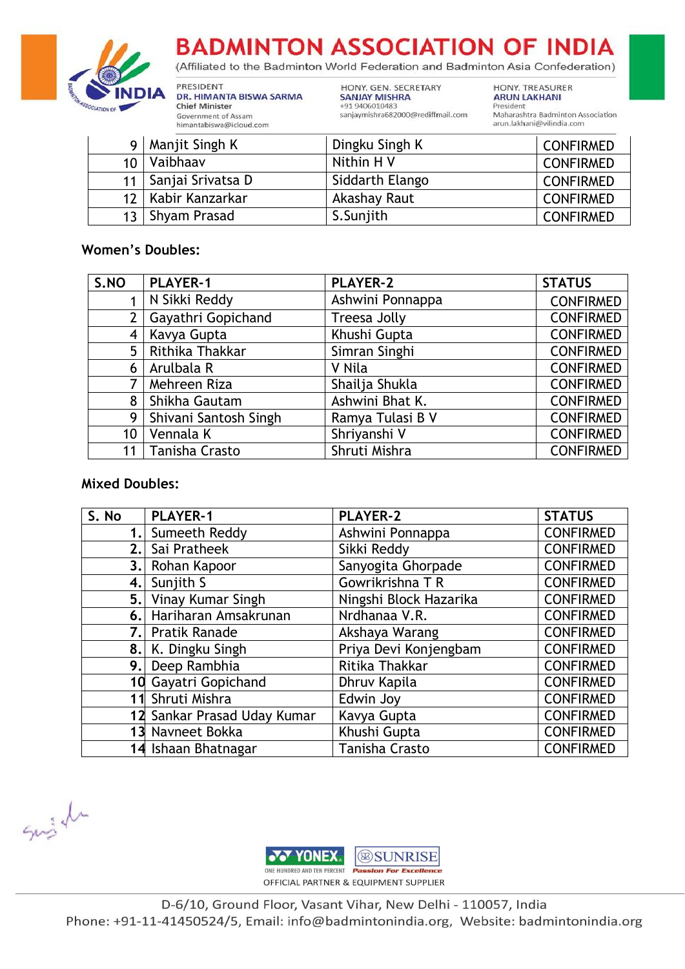

(Affiliated to the Badminton World Federation and Badminton Asia Confederation)

PRESIDENT DR. HIMANTA BISWA SARMA **Chief Minister** Government of Assam himantabiswa@icloud.com

HONY. GEN. SECRETARY **SANJAY MISHRA** +91 9406010483 sanjaymishra682000@rediffmail.com HONY. TREASURER **ARUN LAKHANI** President Maharashtra Badminton Association arun.lakhani@vilindia.com

| Q               | Manjit Singh K       | Dingku Singh K  | <b>CONFIRMED</b> |
|-----------------|----------------------|-----------------|------------------|
| 10 <sup>1</sup> | Vaibhaav             | Nithin H V      | <b>CONFIRMED</b> |
| 11 <sup>1</sup> | Sanjai Srivatsa D    | Siddarth Elango | <b>CONFIRMED</b> |
|                 | 12   Kabir Kanzarkar | Akashay Raut    | <b>CONFIRMED</b> |
| 13 <sup>1</sup> | Shyam Prasad         | S.Sunjith       | <b>CONFIRMED</b> |

#### **Women's Doubles:**

| S.NO           | <b>PLAYER-1</b>       | <b>PLAYER-2</b>  | <b>STATUS</b>    |
|----------------|-----------------------|------------------|------------------|
|                | N Sikki Reddy         | Ashwini Ponnappa | <b>CONFIRMED</b> |
|                | Gayathri Gopichand    | Treesa Jolly     | <b>CONFIRMED</b> |
| 4              | Kavya Gupta           | Khushi Gupta     | <b>CONFIRMED</b> |
| 5              | Rithika Thakkar       | Simran Singhi    | <b>CONFIRMED</b> |
| 6              | Arulbala R            | V Nila           | <b>CONFIRMED</b> |
| $\overline{7}$ | Mehreen Riza          | Shailja Shukla   | <b>CONFIRMED</b> |
| 8              | Shikha Gautam         | Ashwini Bhat K.  | <b>CONFIRMED</b> |
| 9              | Shivani Santosh Singh | Ramya Tulasi B V | <b>CONFIRMED</b> |
| 10             | Vennala K             | Shriyanshi V     | <b>CONFIRMED</b> |
| 11             | Tanisha Crasto        | Shruti Mishra    | <b>CONFIRMED</b> |

#### **Mixed Doubles:**

| S. No | <b>PLAYER-1</b>             | <b>PLAYER-2</b>        | <b>STATUS</b>    |
|-------|-----------------------------|------------------------|------------------|
|       | Sumeeth Reddy               | Ashwini Ponnappa       | <b>CONFIRMED</b> |
| 2.1   | Sai Pratheek                | Sikki Reddy            | <b>CONFIRMED</b> |
| 3.1   | Rohan Kapoor                | Sanyogita Ghorpade     | <b>CONFIRMED</b> |
|       | 4. Sunjith S                | Gowrikrishna T R       | <b>CONFIRMED</b> |
| 5.    | Vinay Kumar Singh           | Ningshi Block Hazarika | <b>CONFIRMED</b> |
|       | 6. Hariharan Amsakrunan     | Nrdhanaa V.R.          | <b>CONFIRMED</b> |
| 7.I   | <b>Pratik Ranade</b>        | Akshaya Warang         | <b>CONFIRMED</b> |
|       | 8. K. Dingku Singh          | Priya Devi Konjengbam  | <b>CONFIRMED</b> |
| 9.l   | Deep Rambhia                | Ritika Thakkar         | <b>CONFIRMED</b> |
|       | 10 Gayatri Gopichand        | Dhruv Kapila           | <b>CONFIRMED</b> |
|       | 11 Shruti Mishra            | Edwin Joy              | <b>CONFIRMED</b> |
|       | 12 Sankar Prasad Uday Kumar | Kavya Gupta            | <b>CONFIRMED</b> |
|       | 13 Navneet Bokka            | Khushi Gupta           | <b>CONFIRMED</b> |
|       | 14 Ishaan Bhatnagar         | <b>Tanisha Crasto</b>  | <b>CONFIRMED</b> |

Suish

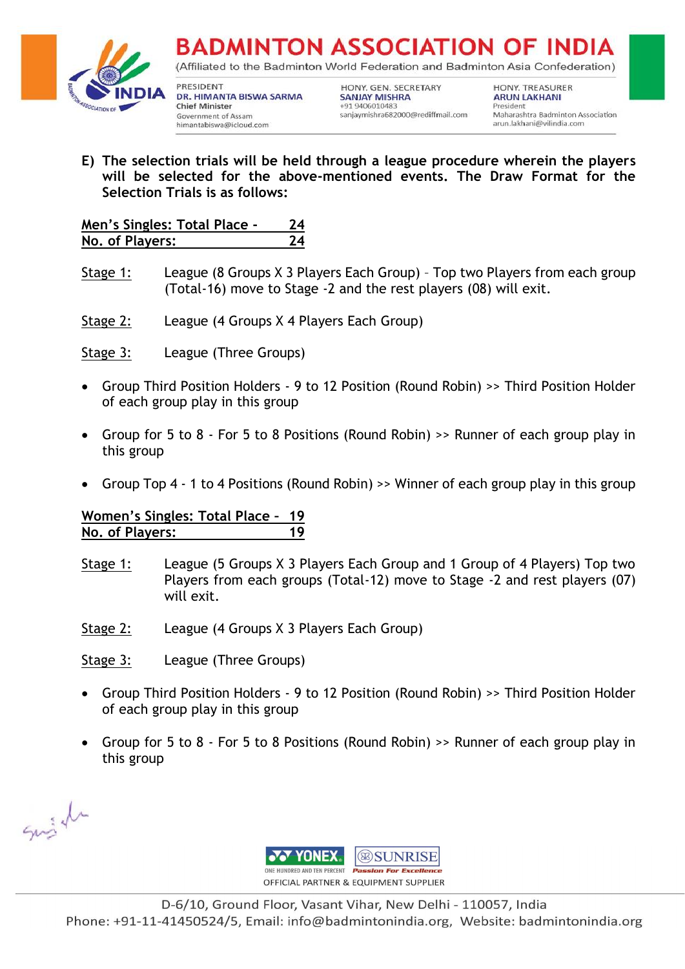

(Affiliated to the Badminton World Federation and Badminton Asia Confederation)

PRESIDENT DR. HIMANTA BISWA SARMA **Chief Minister** Government of Assam himantabiswa@icloud.com

HONY. GEN. SECRETARY **SANJAY MISHRA** +91 9406010483 sanjaymishra682000@rediffmail.com **HONY, TREASURER ARUN LAKHANI** President Maharashtra Badminton Association arun.lakhani@vilindia.com

**E) The selection trials will be held through a league procedure wherein the players will be selected for the above-mentioned events. The Draw Format for the Selection Trials is as follows:**

| Men's Singles: Total Place - | 24 |
|------------------------------|----|
| No. of Players:              | 24 |

- Stage 1: League (8 Groups X 3 Players Each Group) Top two Players from each group (Total-16) move to Stage -2 and the rest players (08) will exit.
- Stage 2: League (4 Groups X 4 Players Each Group)
- Stage 3: League (Three Groups)
- Group Third Position Holders 9 to 12 Position (Round Robin) >> Third Position Holder of each group play in this group
- Group for 5 to 8 For 5 to 8 Positions (Round Robin) >> Runner of each group play in this group
- Group Top 4 1 to 4 Positions (Round Robin) >> Winner of each group play in this group

#### **Women's Singles: Total Place – 19 No. of Players: 19**

- Stage 1: League (5 Groups X 3 Players Each Group and 1 Group of 4 Players) Top two Players from each groups (Total-12) move to Stage -2 and rest players (07) will exit.
- Stage 2: League (4 Groups X 3 Players Each Group)

Stage 3: League (Three Groups)

- Group Third Position Holders 9 to 12 Position (Round Robin) >> Third Position Holder of each group play in this group
- Group for 5 to 8 For 5 to 8 Positions (Round Robin) >> Runner of each group play in this group

Suish

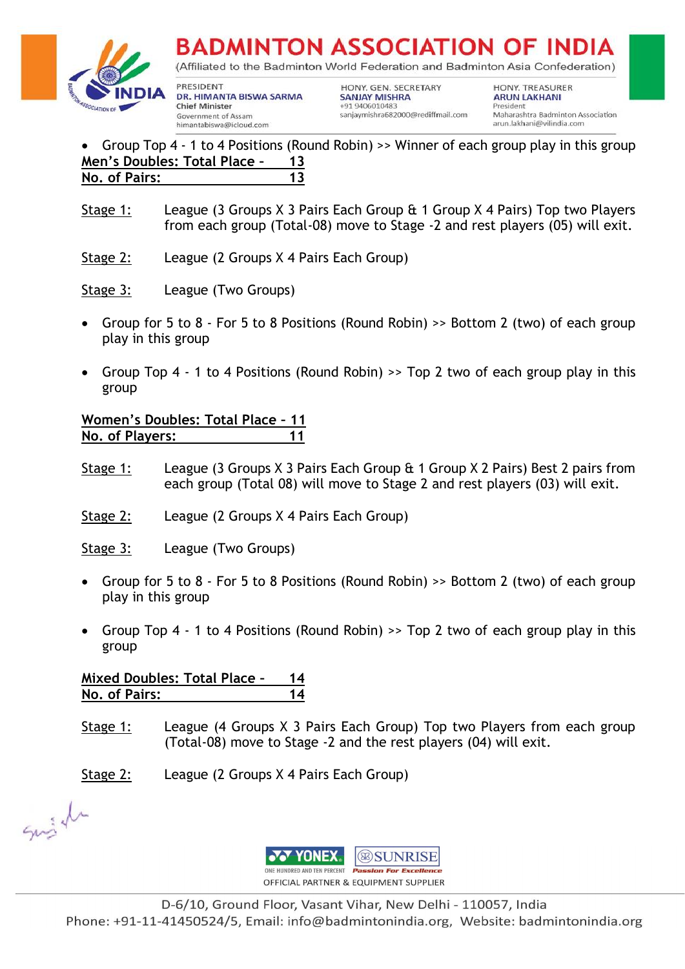



(Affiliated to the Badminton World Federation and Badminton Asia Confederation)

PRESIDENT DR. HIMANTA BISWA SARMA **Chief Minister** Government of Assam himantabiswa@icloud.com

HONY. GEN. SECRETARY **SANJAY MISHRA** +91 9406010483 sanjaymishra682000@rediffmail.com **HONY, TREASURER ARUN LAKHANI** President Maharashtra Badminton Association arun.lakhani@vilindia.com

#### Group Top 4 - 1 to 4 Positions (Round Robin) >> Winner of each group play in this group n's Doubles: Total Place - 13 **Men's Doubles: Total Place – 13 No. of Pairs: 13**

- Stage 1: League (3 Groups X 3 Pairs Each Group & 1 Group X 4 Pairs) Top two Players from each group (Total-08) move to Stage -2 and rest players (05) will exit.
- Stage 2: League (2 Groups X 4 Pairs Each Group)
- Stage 3: League (Two Groups)
- Group for 5 to 8 For 5 to 8 Positions (Round Robin) >> Bottom 2 (two) of each group play in this group
- Group Top 4 1 to 4 Positions (Round Robin) >> Top 2 two of each group play in this group

### **Women's Doubles: Total Place – 11 No. of Players: 11**

- Stage 1: League (3 Groups X 3 Pairs Each Group & 1 Group X 2 Pairs) Best 2 pairs from each group (Total 08) will move to Stage 2 and rest players (03) will exit.
- Stage 2: League (2 Groups X 4 Pairs Each Group)
- Stage 3: League (Two Groups)
- Group for 5 to 8 For 5 to 8 Positions (Round Robin) >> Bottom 2 (two) of each group play in this group
- Group Top 4 1 to 4 Positions (Round Robin) >> Top 2 two of each group play in this group

### **Mixed Doubles: Total Place – 14 No. of Pairs: 14**

Stage 1: League (4 Groups X 3 Pairs Each Group) Top two Players from each group (Total-08) move to Stage -2 and the rest players (04) will exit.

Stage 2: League (2 Groups X 4 Pairs Each Group)

Suish

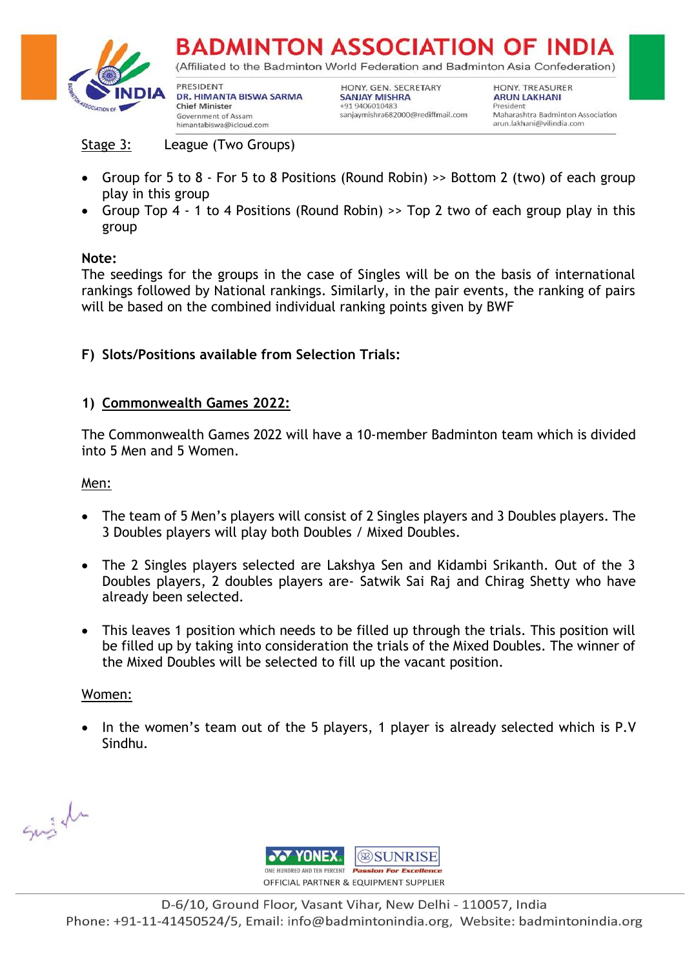

(Affiliated to the Badminton World Federation and Badminton Asia Confederation)

PRESIDENT DR. HIMANTA BISWA SARMA **Chief Minister** Government of Assam himantabiswa@icloud.com

HONY. GEN. SECRETARY **SANJAY MISHRA** +91 9406010483 sanjaymishra682000@rediffmail.com **HONY, TREASURER ARUN LAKHANI** President Maharashtra Badminton Association arun.lakhani@vilindia.com

Stage 3: League (Two Groups)

- Group for 5 to 8 For 5 to 8 Positions (Round Robin) >> Bottom 2 (two) of each group play in this group
- Group Top 4 1 to 4 Positions (Round Robin) >> Top 2 two of each group play in this group

### **Note:**

The seedings for the groups in the case of Singles will be on the basis of international rankings followed by National rankings. Similarly, in the pair events, the ranking of pairs will be based on the combined individual ranking points given by BWF

### **F) Slots/Positions available from Selection Trials:**

### **1) Commonwealth Games 2022:**

The Commonwealth Games 2022 will have a 10-member Badminton team which is divided into 5 Men and 5 Women.

#### Men:

- The team of 5 Men's players will consist of 2 Singles players and 3 Doubles players. The 3 Doubles players will play both Doubles / Mixed Doubles.
- The 2 Singles players selected are Lakshya Sen and Kidambi Srikanth. Out of the 3 Doubles players, 2 doubles players are- Satwik Sai Raj and Chirag Shetty who have already been selected.
- This leaves 1 position which needs to be filled up through the trials. This position will be filled up by taking into consideration the trials of the Mixed Doubles. The winner of the Mixed Doubles will be selected to fill up the vacant position.

#### Women:

• In the women's team out of the 5 players, 1 player is already selected which is P.V Sindhu.

Suish

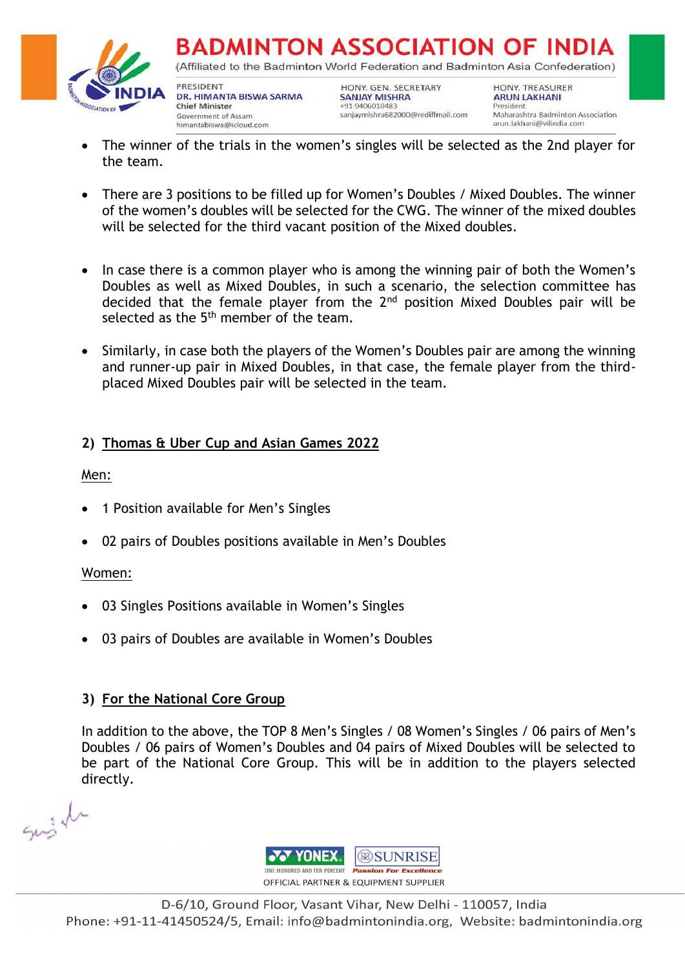

**BADMINTON ASSOCIATION OF INDI** (Affiliated to the Badminton World Federation and Badminton Asia Confederation)

PRESIDENT DR. HIMANTA BISWA SARMA **Chief Minister** Government of Assam himantabiswa@icloud.com

HONY. GEN. SECRETARY **SANJAY MISHRA** +91 9406010483 sanjaymishra682000@rediffmail.com HONY, TREASURER **ARUN LAKHANI** President Maharashtra Badminton Association arun.lakhani@vilindia.com

- The winner of the trials in the women's singles will be selected as the 2nd player for the team.
- There are 3 positions to be filled up for Women's Doubles / Mixed Doubles. The winner of the women's doubles will be selected for the CWG. The winner of the mixed doubles will be selected for the third vacant position of the Mixed doubles.
- In case there is a common player who is among the winning pair of both the Women's Doubles as well as Mixed Doubles, in such a scenario, the selection committee has decided that the female player from the 2<sup>nd</sup> position Mixed Doubles pair will be selected as the  $5<sup>th</sup>$  member of the team.
- Similarly, in case both the players of the Women's Doubles pair are among the winning and runner-up pair in Mixed Doubles, in that case, the female player from the thirdplaced Mixed Doubles pair will be selected in the team.

## **2) Thomas & Uber Cup and Asian Games 2022**

Men:

- 1 Position available for Men's Singles
- 02 pairs of Doubles positions available in Men's Doubles

### Women:

- 03 Singles Positions available in Women's Singles
- 03 pairs of Doubles are available in Women's Doubles

### **3) For the National Core Group**

In addition to the above, the TOP 8 Men's Singles / 08 Women's Singles / 06 pairs of Men's Doubles / 06 pairs of Women's Doubles and 04 pairs of Mixed Doubles will be selected to be part of the National Core Group. This will be in addition to the players selected directly.

Singen